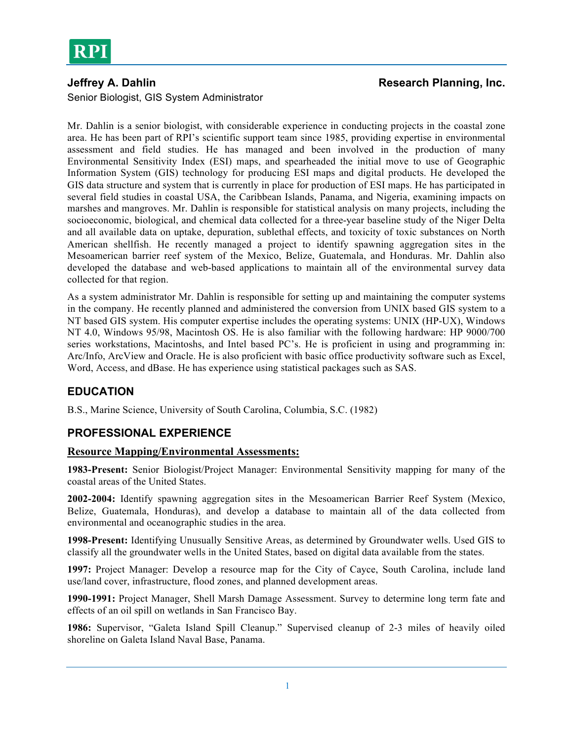

**Jeffrey A. Dahlin Research Planning, Inc. Research Planning, Inc.** 

Senior Biologist, GIS System Administrator

Mr. Dahlin is a senior biologist, with considerable experience in conducting projects in the coastal zone area. He has been part of RPI's scientific support team since 1985, providing expertise in environmental assessment and field studies. He has managed and been involved in the production of many Environmental Sensitivity Index (ESI) maps, and spearheaded the initial move to use of Geographic Information System (GIS) technology for producing ESI maps and digital products. He developed the GIS data structure and system that is currently in place for production of ESI maps. He has participated in several field studies in coastal USA, the Caribbean Islands, Panama, and Nigeria, examining impacts on marshes and mangroves. Mr. Dahlin is responsible for statistical analysis on many projects, including the socioeconomic, biological, and chemical data collected for a three-year baseline study of the Niger Delta and all available data on uptake, depuration, sublethal effects, and toxicity of toxic substances on North American shellfish. He recently managed a project to identify spawning aggregation sites in the Mesoamerican barrier reef system of the Mexico, Belize, Guatemala, and Honduras. Mr. Dahlin also developed the database and web-based applications to maintain all of the environmental survey data collected for that region.

As a system administrator Mr. Dahlin is responsible for setting up and maintaining the computer systems in the company. He recently planned and administered the conversion from UNIX based GIS system to a NT based GIS system. His computer expertise includes the operating systems: UNIX (HP-UX), Windows NT 4.0, Windows 95/98, Macintosh OS. He is also familiar with the following hardware: HP 9000/700 series workstations, Macintoshs, and Intel based PC's. He is proficient in using and programming in: Arc/Info, ArcView and Oracle. He is also proficient with basic office productivity software such as Excel, Word, Access, and dBase. He has experience using statistical packages such as SAS.

# **EDUCATION**

B.S., Marine Science, University of South Carolina, Columbia, S.C. (1982)

# **PROFESSIONAL EXPERIENCE**

## **Resource Mapping/Environmental Assessments:**

**1983-Present:** Senior Biologist/Project Manager: Environmental Sensitivity mapping for many of the coastal areas of the United States.

**2002-2004:** Identify spawning aggregation sites in the Mesoamerican Barrier Reef System (Mexico, Belize, Guatemala, Honduras), and develop a database to maintain all of the data collected from environmental and oceanographic studies in the area.

**1998-Present:** Identifying Unusually Sensitive Areas, as determined by Groundwater wells. Used GIS to classify all the groundwater wells in the United States, based on digital data available from the states.

**1997:** Project Manager: Develop a resource map for the City of Cayce, South Carolina, include land use/land cover, infrastructure, flood zones, and planned development areas.

**1990-1991:** Project Manager, Shell Marsh Damage Assessment. Survey to determine long term fate and effects of an oil spill on wetlands in San Francisco Bay.

**1986:** Supervisor, "Galeta Island Spill Cleanup." Supervised cleanup of 2-3 miles of heavily oiled shoreline on Galeta Island Naval Base, Panama.